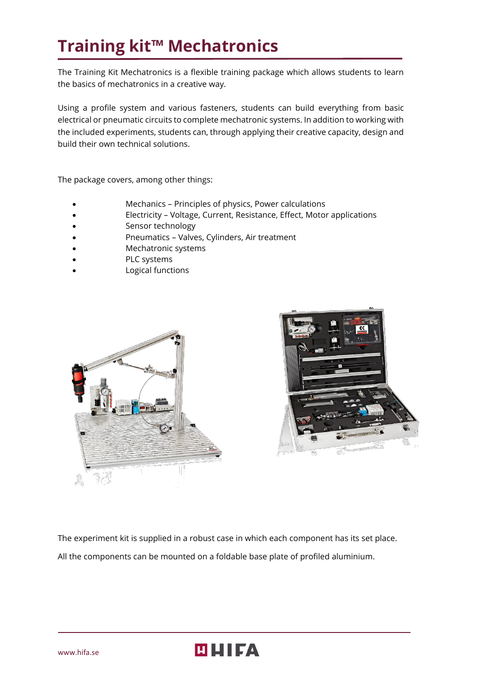# **Training kit™ Mechatronics**

The Training Kit Mechatronics is a flexible training package which allows students to learn the basics of mechatronics in a creative way.

Using a profile system and various fasteners, students can build everything from basic electrical or pneumatic circuits to complete mechatronic systems. In addition to working with the included experiments, students can, through applying their creative capacity, design and build their own technical solutions.

The package covers, among other things:

- Mechanics Principles of physics, Power calculations
- Electricity Voltage, Current, Resistance, Effect, Motor applications
- Sensor technology
- Pneumatics Valves, Cylinders, Air treatment
- Mechatronic systems
- PLC systems
- Logical functions





The experiment kit is supplied in a robust case in which each component has its set place. All the components can be mounted on a foldable base plate of profiled aluminium.